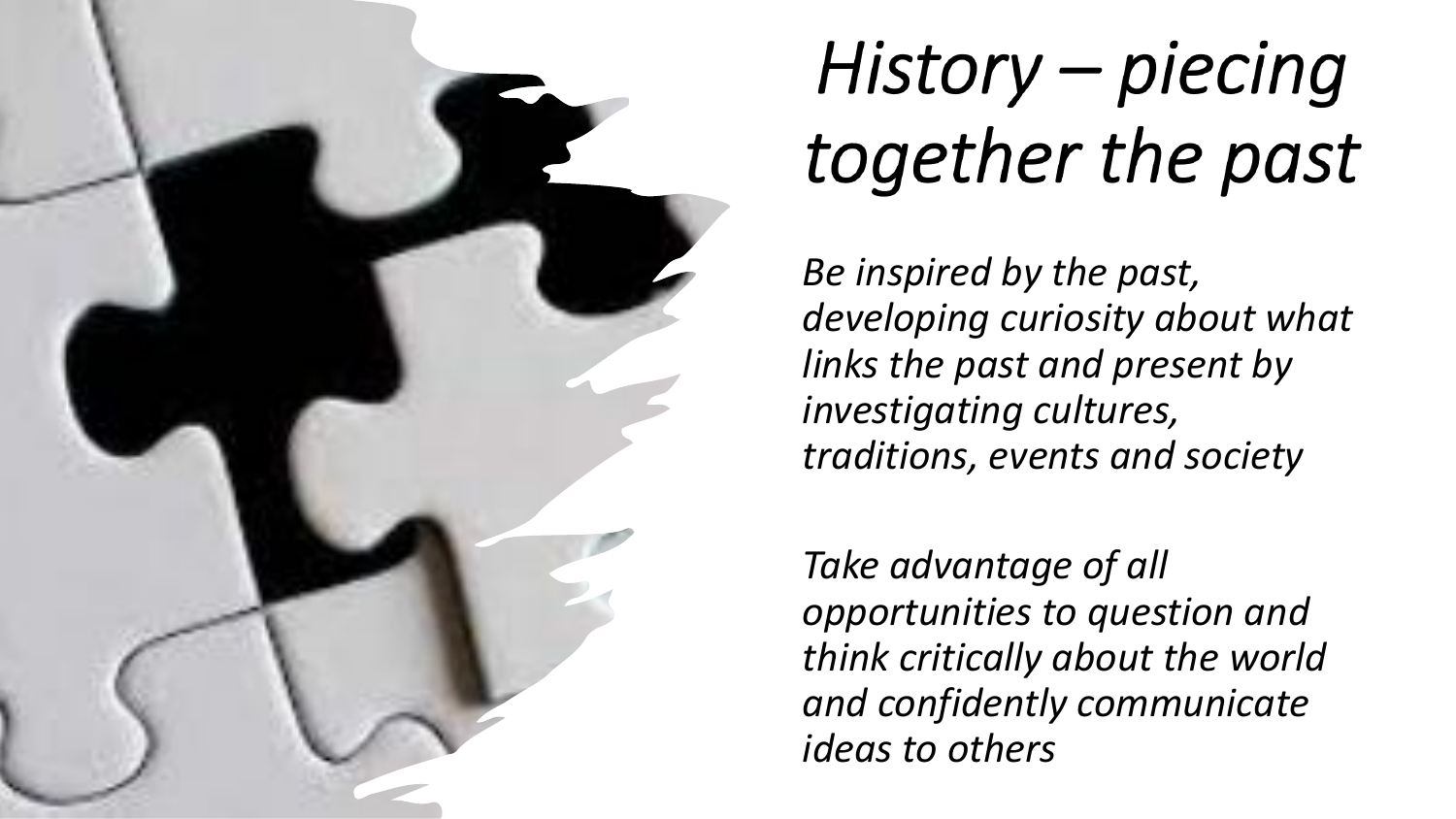

## History - piecing together the past

*Be inspired by the past, developing curiosity about what links the past and present by investigating cultures, traditions, events and society*

*Take advantage of all opportunities to question and think critically about the world and confidently communicate ideas to others*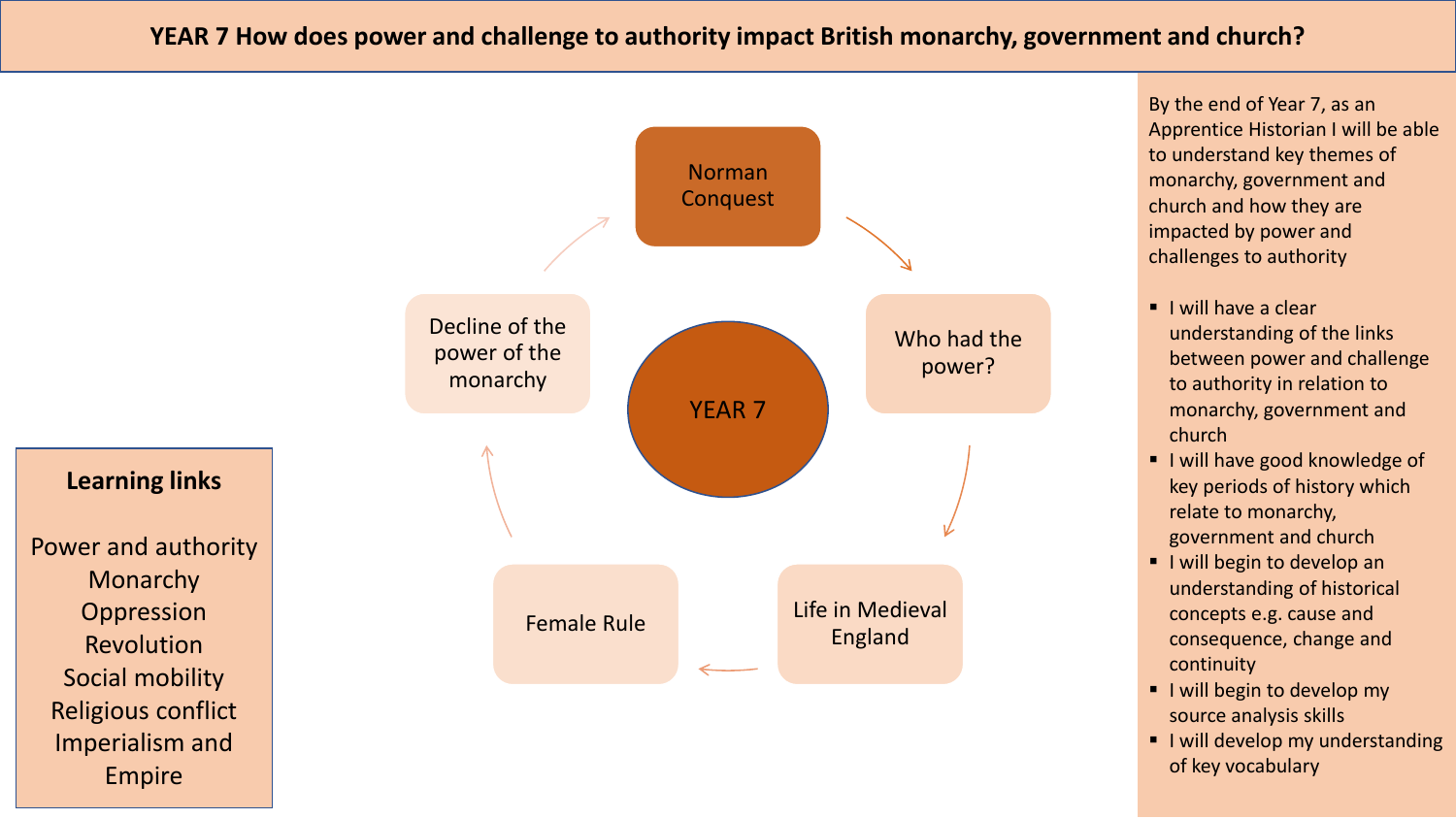## **YEAR 7 How does power and challenge to authority impact British monarchy, government and church?**

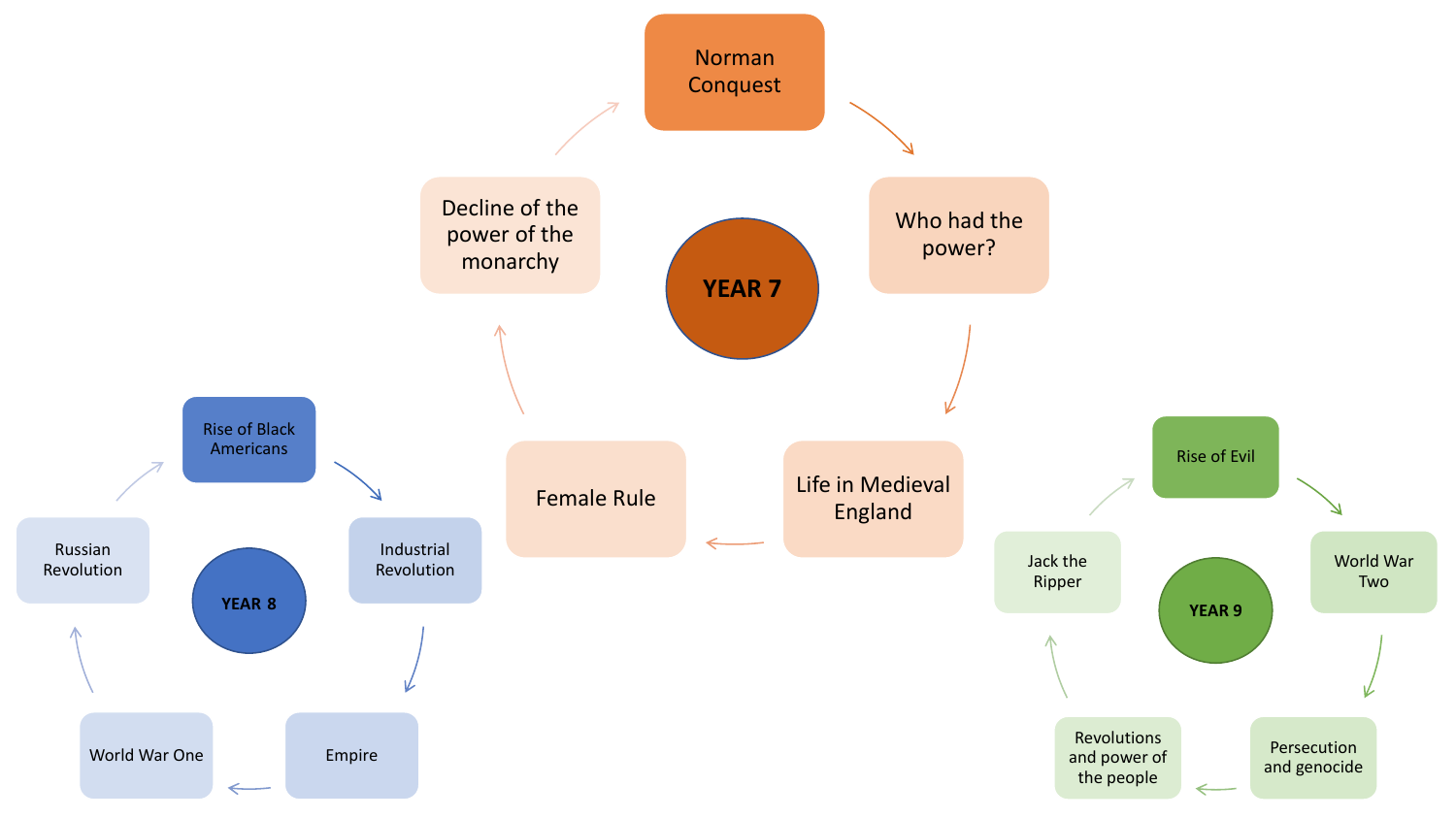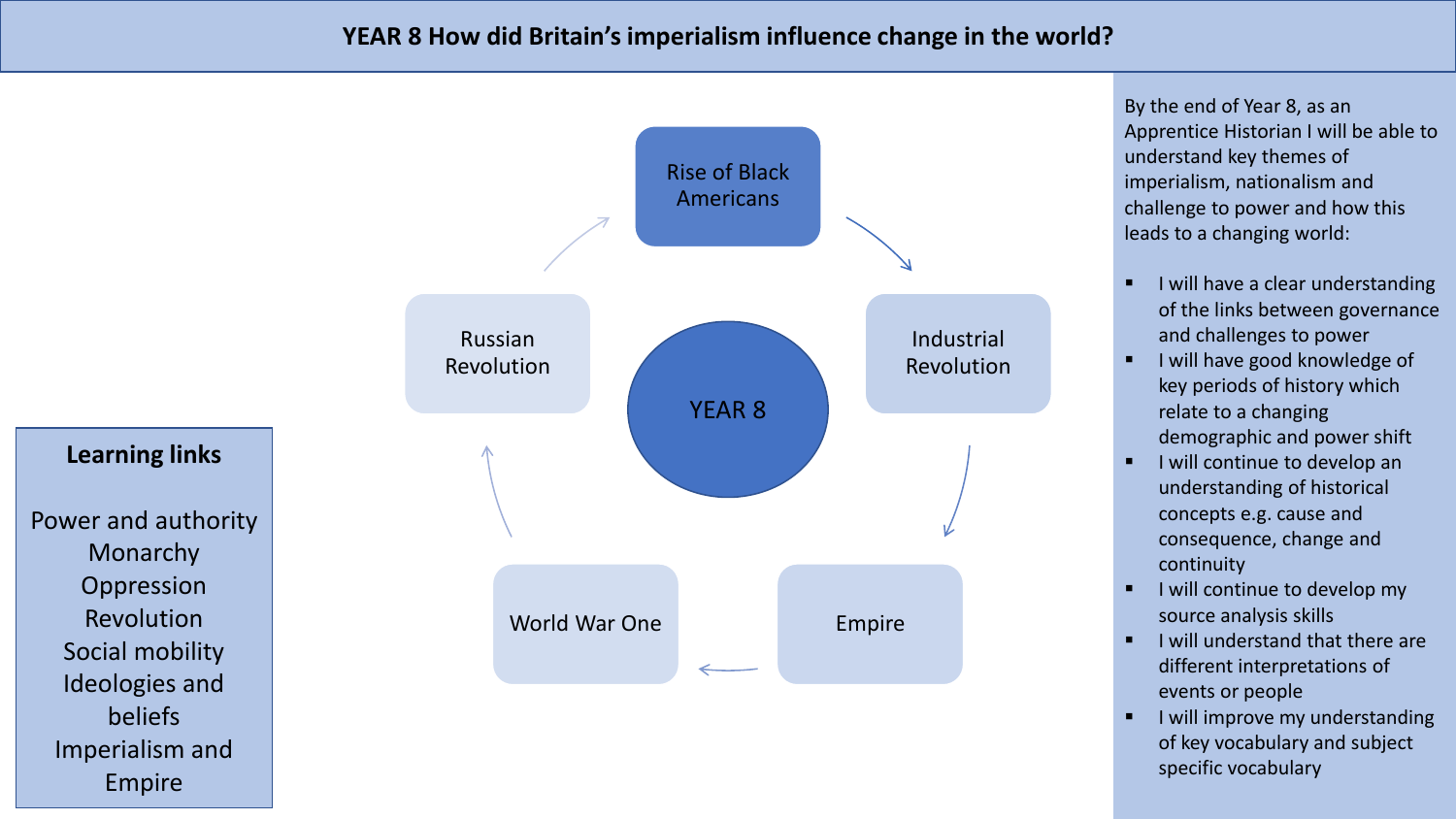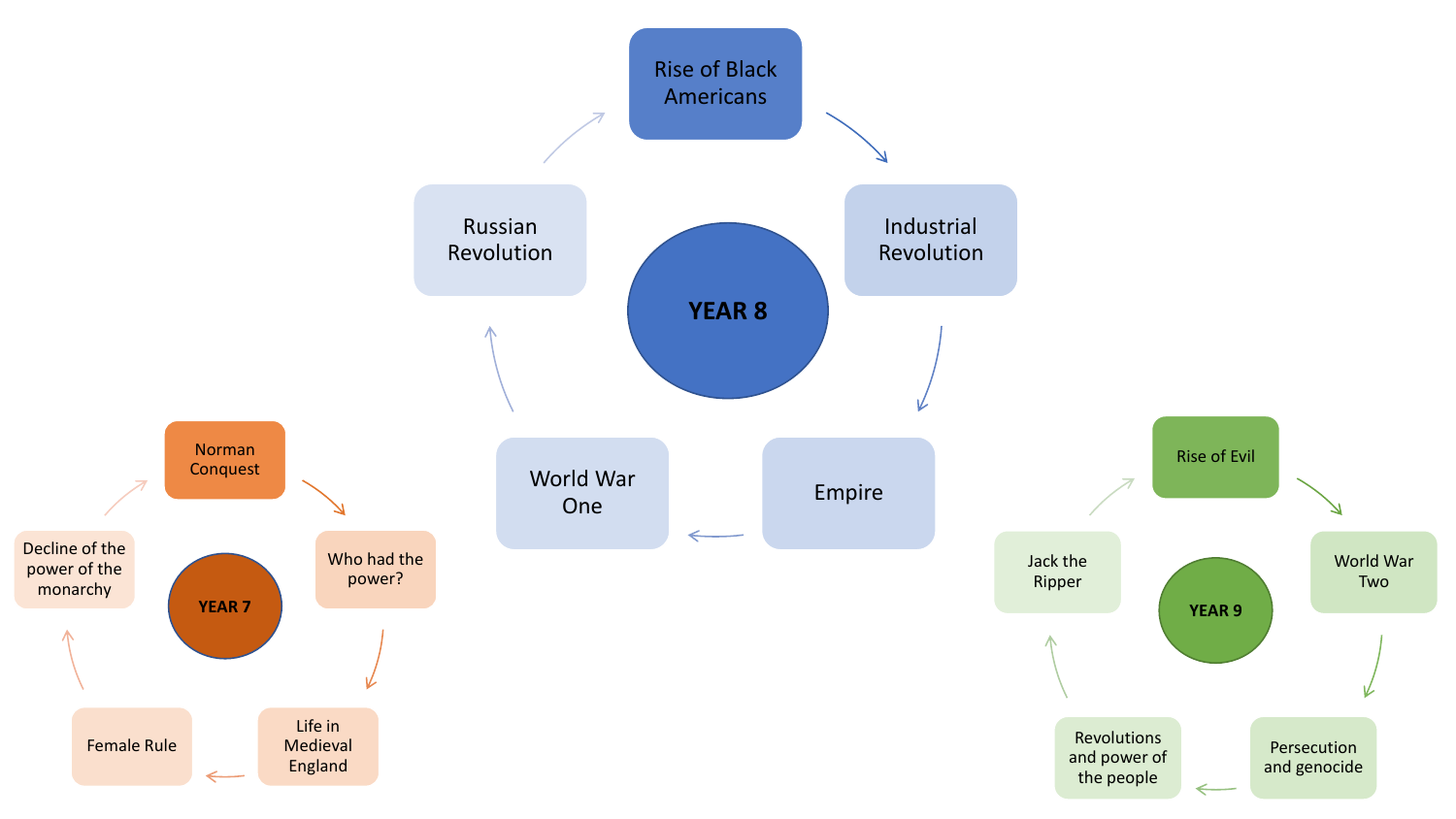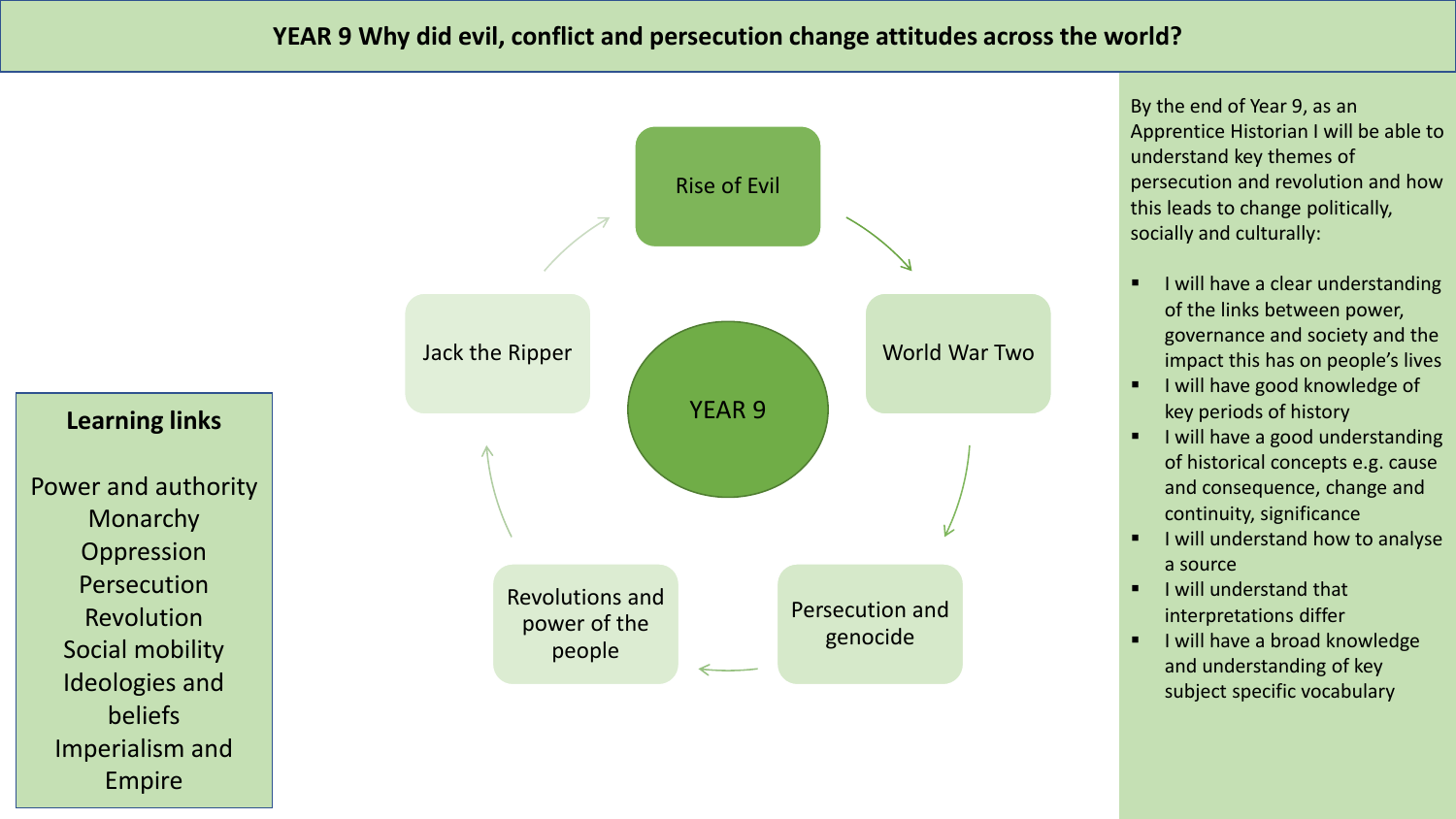Rise of Evil World War Two Persecution and genocide Revolutions and power of the people Jack the Ripper YEAR 9 **Learning links** Power and authority **Monarchy Oppression** Persecution Revolution Social mobility Ideologies and beliefs Imperialism and

Empire

By the end of Year 9, as an Apprentice Historian I will be able to understand key themes of persecution and revolution and how this leads to change politically, socially and culturally:

- I will have a clear understanding of the links between power, governance and society and the impact this has on people's lives
- I will have good knowledge of key periods of history
- I will have a good understanding of historical concepts e.g. cause and consequence, change and continuity, significance
- I will understand how to analyse a source
- I will understand that interpretations differ
- **■** I will have a broad knowledge and understanding of key subject specific vocabulary